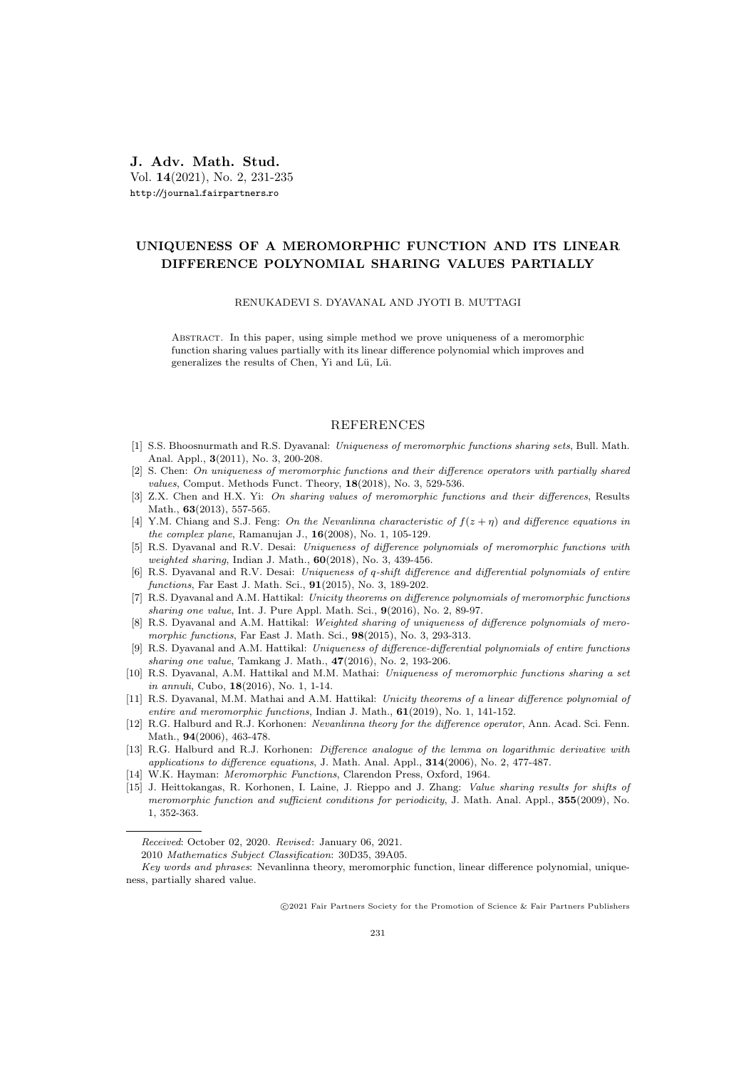J. Adv. Math. Stud. Vol. 14(2021), No. 2, 231-235 http://journal.fairpartners.ro

## UNIQUENESS OF A MEROMORPHIC FUNCTION AND ITS LINEAR DIFFERENCE POLYNOMIAL SHARING VALUES PARTIALLY

RENUKADEVI S. DYAVANAL AND JYOTI B. MUTTAGI

Abstract. In this paper, using simple method we prove uniqueness of a meromorphic function sharing values partially with its linear difference polynomial which improves and generalizes the results of Chen, Yi and Lü, Lü.

## REFERENCES

- [1] S.S. Bhoosnurmath and R.S. Dyavanal: Uniqueness of meromorphic functions sharing sets, Bull. Math. Anal. Appl., 3(2011), No. 3, 200-208.
- [2] S. Chen: On uniqueness of meromorphic functions and their difference operators with partially shared values, Comput. Methods Funct. Theory, 18(2018), No. 3, 529-536.
- [3] Z.X. Chen and H.X. Yi: On sharing values of meromorphic functions and their differences, Results Math., 63(2013), 557-565.
- [4] Y.M. Chiang and S.J. Feng: On the Nevanlinna characteristic of  $f(z + \eta)$  and difference equations in the complex plane, Ramanujan J., 16(2008), No. 1, 105-129.
- [5] R.S. Dyavanal and R.V. Desai: Uniqueness of difference polynomials of meromorphic functions with weighted sharing, Indian J. Math., 60(2018), No. 3, 439-456.
- [6] R.S. Dyavanal and R.V. Desai: Uniqueness of q-shift difference and differential polynomials of entire functions, Far East J. Math. Sci., 91(2015), No. 3, 189-202.
- [7] R.S. Dyavanal and A.M. Hattikal: Unicity theorems on difference polynomials of meromorphic functions sharing one value, Int. J. Pure Appl. Math. Sci., 9(2016), No. 2, 89-97.
- [8] R.S. Dyavanal and A.M. Hattikal: Weighted sharing of uniqueness of difference polynomials of meromorphic functions, Far East J. Math. Sci., **98**(2015), No. 3, 293-313.
- [9] R.S. Dyavanal and A.M. Hattikal: Uniqueness of difference-differential polynomials of entire functions sharing one value, Tamkang J. Math., 47(2016), No. 2, 193-206.
- [10] R.S. Dyavanal, A.M. Hattikal and M.M. Mathai: Uniqueness of meromorphic functions sharing a set in annuli, Cubo, 18(2016), No. 1, 1-14.
- [11] R.S. Dyavanal, M.M. Mathai and A.M. Hattikal: Unicity theorems of a linear difference polynomial of entire and meromorphic functions, Indian J. Math.,  $61(2019)$ , No. 1, 141-152.
- [12] R.G. Halburd and R.J. Korhonen: Nevanlinna theory for the difference operator, Ann. Acad. Sci. Fenn. Math., **94**(2006), 463-478.
- [13] R.G. Halburd and R.J. Korhonen: *Difference analogue of the lemma on logarithmic derivative with* applications to difference equations, J. Math. Anal. Appl., 314(2006), No. 2, 477-487.
- [14] W.K. Hayman: *Meromorphic Functions*, Clarendon Press, Oxford, 1964.
- [15] J. Heittokangas, R. Korhonen, I. Laine, J. Rieppo and J. Zhang: Value sharing results for shifts of meromorphic function and sufficient conditions for periodicity, J. Math. Anal. Appl., 355(2009), No. 1, 352-363.

c 2021 Fair Partners Society for the Promotion of Science & Fair Partners Publishers

Received: October 02, 2020. Revised: January 06, 2021.

<sup>2010</sup> Mathematics Subject Classification: 30D35, 39A05.

Key words and phrases: Nevanlinna theory, meromorphic function, linear difference polynomial, uniqueness, partially shared value.